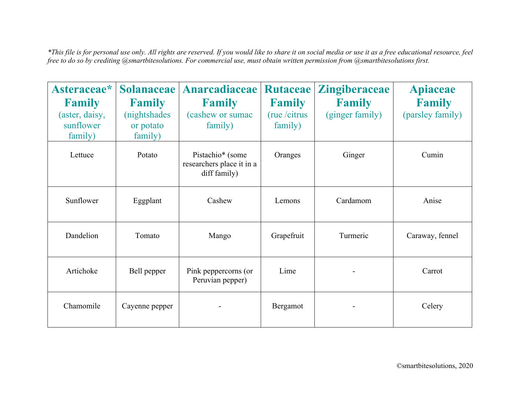*\*This file is for personal use only. All rights are reserved. If you would like to share it on social media or use it as a free educational resource, feel free to do so by crediting @smartbitesolutions. For commercial use, must obtain written permission from @smartbitesolutions first.*

| Asteraceae*<br><b>Family</b><br>(aster, daisy,<br>sunflower<br>family) | <b>Solanaceae</b><br><b>Family</b><br>(nightshades<br>or potato<br>family) | Anarcadiaceae<br><b>Family</b><br>(cashew or sumac<br>family) | <b>Rutaceae</b><br><b>Family</b><br>(rue / citrus<br>family) | <b>Zingiberaceae</b><br><b>Family</b><br>(ginger family) | <b>Apiaceae</b><br><b>Family</b><br>(parsley family) |
|------------------------------------------------------------------------|----------------------------------------------------------------------------|---------------------------------------------------------------|--------------------------------------------------------------|----------------------------------------------------------|------------------------------------------------------|
| Lettuce                                                                | Potato                                                                     | Pistachio* (some<br>researchers place it in a<br>diff family) | Oranges                                                      | Ginger                                                   | Cumin                                                |
| Sunflower                                                              | Eggplant                                                                   | Cashew                                                        | Lemons                                                       | Cardamom                                                 | Anise                                                |
| Dandelion                                                              | Tomato                                                                     | Mango                                                         | Grapefruit                                                   | Turmeric                                                 | Caraway, fennel                                      |
| Artichoke                                                              | Bell pepper                                                                | Pink peppercorns (or<br>Peruvian pepper)                      | Lime                                                         |                                                          | Carrot                                               |
| Chamomile                                                              | Cayenne pepper                                                             |                                                               | Bergamot                                                     |                                                          | Celery                                               |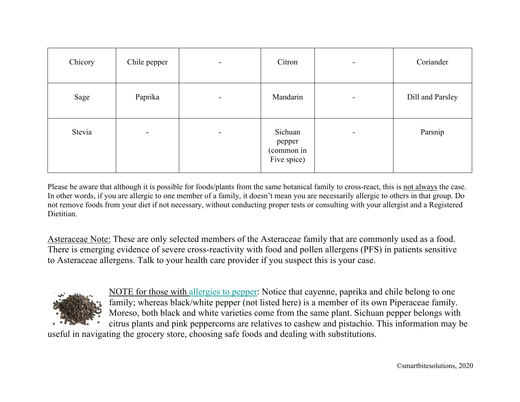| Chicory | Chile pepper             | $\overline{\phantom{a}}$ | Citron                                         |                          | Coriander        |
|---------|--------------------------|--------------------------|------------------------------------------------|--------------------------|------------------|
| Sage    | Paprika                  | $\overline{\phantom{a}}$ | Mandarin                                       | $\overline{\phantom{a}}$ | Dill and Parsley |
| Stevia  | $\overline{\phantom{a}}$ | $\overline{\phantom{a}}$ | Sichuan<br>pepper<br>(common in<br>Five spice) | $\blacksquare$           | Parsnip          |

Please be aware that although it is possible for foods/plants from the same botanical family to cross-react, this is not always the case. In other words, if you are allergic to one member of a family, it doesn't mean you are necessarily allergic to others in that group. Do not remove foods from your diet if not necessary, without conducting proper tests or consulting with your allergist and a Registered Dietitian.

Asteraceae Note: These are only selected members of the Asteraceae family that are commonly used as a food. There is emerging evidence of severe cross-reactivity with food and pollen allergens (PFS) in patients sensitive to Asteraceae allergens. Talk to your health care provider if you suspect this is your case.



NOTE for those with allergies to pepper: Notice that cayenne, paprika and chile belong to one family; whereas black/white pepper (not listed here) is a member of its own Piperaceae family. Moreso, both black and white varieties come from the same plant. Sichuan pepper belongs with citrus plants and pink peppercorns are relatives to cashew and pistachio. This information may be

useful in navigating the grocery store, choosing safe foods and dealing with substitutions.